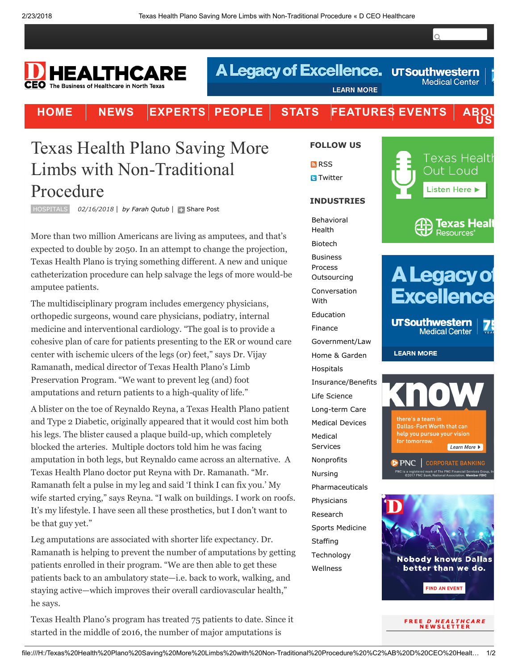$\overline{Q}$ 

**Medical Center** 

## HEALTHCARE CEO The Business of Healthcare in North Texa

[HOME](file:///H:/) | [NEWS](https://healthcare.dmagazine.com/category/news/) |[EXPERTS](https://healthcare.dmagazine.com/category/expert-opinions/)| [PEOPLE](file:///H:/personnel-moves) | [STATS](https://healthcare.dmagazine.com/category/stats/) |[FEATURES](file:///H:/features) [EVENTS](file:///H:/events)

**LEARN MORE** 

**A Legacy of Excellence. UT Southwestern** 

## Texas Health Plano Saving More Limbs with Non-Traditional Procedure

HOSPITALS 02/16/2018 | by Farah [Qutub](https://healthcare.dmagazine.com/author/farah-qutub/) | + [Share](http://www.addthis.com/bookmark.php?v=250&pubid=dmagazine) Post

More than two million Americans are living as amputees, and that's expected to double by 2050. In an attempt to change the projection, Texas Health Plano is trying something different. A new and unique catheterization procedure can help salvage the legs of more would-be amputee patients.

The multidisciplinary program includes emergency physicians, orthopedic surgeons, wound care physicians, podiatry, internal medicine and interventional cardiology. "The goal is to provide a cohesive plan of care for patients presenting to the ER or wound care center with ischemic ulcers of the legs (or) feet," says Dr. Vijay Ramanath, medical director of Texas Health Plano's Limb Preservation Program. "We want to prevent leg (and) foot amputations and return patients to a high-quality of life."

A blister on the toe of Reynaldo Reyna, a Texas Health Plano patient and Type 2 Diabetic, originally appeared that it would cost him both his legs. The blister caused a plaque build-up, which completely blocked the arteries. Multiple doctors told him he was facing amputation in both legs, but Reynaldo came across an alternative. A Texas Health Plano doctor put Reyna with Dr. Ramanath. "Mr. Ramanath felt a pulse in my leg and said 'I think I can fix you.' My wife started crying," says Reyna. "I walk on buildings. I work on roofs. It's my lifestyle. I have seen all these prosthetics, but I don't want to be that guy yet."

Leg amputations are associated with shorter life expectancy. Dr. Ramanath is helping to prevent the number of amputations by getting patients enrolled in their program. "We are then able to get these patients back to an ambulatory state—i.e. back to work, walking, and staying active—which improves their overall cardiovascular health," he says.

Texas Health Plano's program has treated 75 patients to date. Since it started in the middle of 2016, the number of major amputations is

FOLLOW US

**M** [RSS](file:///H:/feed) **R** [Twitter](https://twitter.com/dceohealth)

### INDUSTRIES

[Behavioral](file:///H:/category/behavioral-health)

Health [Biotech](file:///H:/category/biotech) Business Process **[Outsourcing](file:///H:/category/business-process-outsourcing-sectors)** [Conversation](file:///H:/category/conversation-with) With [Education](file:///H:/category/education) [Finance](file:///H:/category/finance) [Government/Law](file:///H:/category/government-and-law) Home & [Garden](file:///H:/category/real-estate-home-and-garden) [Hospitals](file:///H:/category/hospitalshealth-systems) [Insurance/Benefits](file:///H:/category/insurancebenefits) Life [Science](file:///H:/category/life-science) [Long-term](file:///H:/category/long-term-care) Care Medical [Devices](file:///H:/category/medical-devices) Medical [Services](file:///H:/category/medical-services) [Nonprofits](file:///H:/category/associationsnonprofits) [Nursing](file:///H:/category/nursing) [Pharmaceuticals](file:///H:/category/pharmaceuticals) [Physicians](file:///H:/category/physicians) [Research](file:///H:/category/research) Sports [Medicine](file:///H:/category/sports-medicine) **[Staffing](file:///H:/category/staffing)** [Technology](file:///H:/category/technology) **[Wellness](file:///H:/category/wellness)** 



US

# **A Legacy of Excellence**

**UTSouthwestern Medical Center** 

**LEARN MORE** 





FREE *D HEALTHCARE*<br>NEWSLETTER